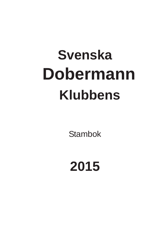## **Svenska Dobermann Klubbens**

Stambok

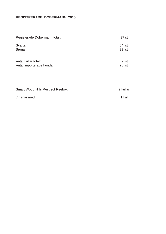## **REGISTRERADE DOBERMANN 2015**

| Registerade Dobermann totalt                    | 97 st          |
|-------------------------------------------------|----------------|
| Svarta<br><b>Bruna</b>                          | 64 st<br>33 st |
| Antal kullar totalt<br>Antal importerade hundar | 9 st<br>28 st  |
| <b>Smart Wood Hills Respect Reebok</b>          | 2 kullar       |
| 7 hanar med                                     | 1 kull         |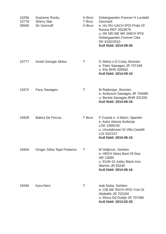| 10256<br>10778<br>28569 | Supreme Rocky<br><b>Sherry Star</b><br><b>Sir Smirnoff</b> | H Brun<br>T Brun<br>H Brun | Dobergaarden Forever H Lundahl<br><b>Danmark</b><br>e: HU RU UACH IPOI Pride Of<br><b>Russia RKF 2633676</b><br>u: DK MD ME MK SMCH IPOI<br>Dobergaarden Forever Cika<br>DK 6182/2010<br>Kull född: 2014-09-26 |
|-------------------------|------------------------------------------------------------|----------------------------|----------------------------------------------------------------------------------------------------------------------------------------------------------------------------------------------------------------|
| 10777                   | Ameli Georgie Skilos                                       | Τ                          | G Skilos o D Cuba, Bosnien<br>e: Pako Sawages JR 707168<br>u: Elly BHR 326582<br>Kull född: 2014-09-10                                                                                                         |
| 11874                   | <b>Fany Sawages</b>                                        | Т                          | M Radivojac, Bosnien<br>e: Ambusch Sawages JR 704085<br>u: Bereta Sawages BHR 331355<br>Kull född: 2014-06-16                                                                                                  |
| 15828                   | <b>Bakira De Fercus</b>                                    | T Brun                     | F Cuesta o A Marin, Spanien<br>e: Astor Adonis Ambicija<br>LOE 1669140<br>u: Ursulabrown Di Villa Castelli<br>LOI 03/2157<br>Kull född: 2010-06-15                                                             |
| 18304                   | <b>Ginger Githa Tejat Posterior</b>                        | Τ                          | M Veljkovic, Serbien<br>e: HRCH Mass Best Of Sea<br>HR 13090<br>u: EUW-10 Jukky Black Iron<br>Warrior JR 83240<br>Kull född: 2014-06-16                                                                        |
| 18346                   | <b>Kyra Nero</b>                                           | Τ                          | <b>Isak Nuba, Serbien</b><br>e: CIB ME RSCH IPOI Yron Di<br>Altobello JR 702184<br>u: Africa Od Duklje JR 707386<br>Kull född: 2013-02-25                                                                      |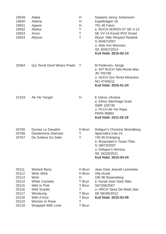| 19549<br>19550<br>19551<br>19552<br>19553<br>19554                                     | Alaba<br>Alekna<br>Agassi<br>Abeba<br>Arron<br>Allyson                                                                                                                          | H<br>Н<br>H<br>Τ<br>Τ<br>Τ                                                        | Swejens Jenny Johansson<br>Kapellvägen 26<br>791 46 Falun<br>e: RUCH NORDV-07 SE V-13<br>SE VV-14 Korad IPOI Smart<br>Wood Hills Respect Reebok<br>S 45467/2007<br>u: Alita Von Morosso<br>SE 30367/2014<br>Kull född: 2015-02-14 |
|----------------------------------------------------------------------------------------|---------------------------------------------------------------------------------------------------------------------------------------------------------------------------------|-----------------------------------------------------------------------------------|-----------------------------------------------------------------------------------------------------------------------------------------------------------------------------------------------------------------------------------|
| 20464                                                                                  | <b>Qui Terret Devil Wears Prada</b>                                                                                                                                             | Τ                                                                                 | M Pedersen, Norge<br>e: INT RUCH Tahi-Reme Max<br>JR 705798<br>u: NUCH Qui Terret Attraction<br>NO 47405/11<br>Kull född: 2015-01-24                                                                                              |
| 21319                                                                                  | Ak-Yar Yangel                                                                                                                                                                   | H                                                                                 | E Ivleva, Ukraina<br>e: Ethos Steinhage Grad<br><b>ISBR 105730</b><br>u: PLCH Ak-Yar Raya<br><b>PKRII 89894</b><br>Kull född: 2011-02-18                                                                                          |
| 24765<br>24766<br>24767                                                                | Dumas Le Dauphin<br>Desdemona Diamant<br>De Sultana Du Solei                                                                                                                    | H Brun<br>Τ<br>Τ                                                                  | Dobgun's Christina Strandberg<br>Sparrsätra Irsta 15<br>745 95 Enköping<br>e: Bryanstam's Tizian-Titan<br>S 19673/2007<br>u: Dobgun's Nerissa<br>SE 16226/2011<br>Kull född: 2015-04-24                                           |
| 25111<br>25112<br>25113<br>25114<br>25115<br>25116<br>25117<br>25118<br>25119<br>25120 | <b>Wicked Berry</b><br>Wink Wink<br>Wish<br><b>White Camelia</b><br>Wild In Pink<br><b>Wild Scarlet</b><br>Windsong<br>With A Kiss<br>Women In Rose<br><b>Wrapped With Love</b> | H Brun<br>H Brun<br>H<br>T Brun<br>T Brun<br>Τ<br>T Brun<br>T Brun<br>T<br>T Brun | Jean Dark Jeanett Lemmeke<br>Vita Huset<br>195 96 Rosersberg<br>e: Korad Jean Dark Nike<br>S67206/2007<br>u: HRCH Tania De Akido San<br>SE 58195/2012<br>Kull född: 2015-03-09                                                    |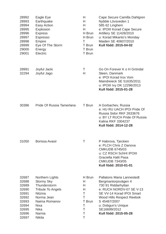| 28992<br>28993<br>28994<br>28995<br>28996<br>28997<br>28998<br>28999<br>29000<br>29001          | Eagle Eye<br>Earthquake<br><b>Easy Action</b><br>Explosion<br><b>Express</b><br><b>Espresso</b><br>Empire<br>Eye Of The Storm<br>Energy<br>Electric                                        | H<br>H<br>H<br>Н<br>H Brun<br>H Brun<br>T<br>T Brun<br>T Brun<br>T Brun | Cape Secure Camilla Dahlgren<br>Nybble Lövsveden 1<br>585 62 Linghem<br>e: IPOIII Korad Cape Secure<br>Artillery SE 11428/2010<br>u: Korad Mikanto's Monday<br>Maiden SE 40607/2010<br>Kull född: 2015-04-02                                                |
|-------------------------------------------------------------------------------------------------|--------------------------------------------------------------------------------------------------------------------------------------------------------------------------------------------|-------------------------------------------------------------------------|-------------------------------------------------------------------------------------------------------------------------------------------------------------------------------------------------------------------------------------------------------------|
| 28991<br>32294                                                                                  | Joyful Jacki<br>Joyful Jago                                                                                                                                                                | Τ<br>H                                                                  | Go On Forever K o H Gröndal<br>Steen, Danmark<br>e: IPOI Korad Irox Vom<br>Maindreieck SE 51635/2011<br>u: IPOIII Ivy DK 12296/2013<br>Kull född: 2015-01-28                                                                                                |
| 30386                                                                                           | Pride Of Russia Tamerlana                                                                                                                                                                  | T Brun                                                                  | A Gorbachev, Russia<br>e: HU RU UACH IPOI Pride Of<br>Russia Sidor RKF 2633676<br>u: BY LT RUCH Pride Of Russia<br><b>Kalina RKF 3304237</b><br>Kull född: 2014-12-28                                                                                       |
| 31050                                                                                           | Borissa Avasir                                                                                                                                                                             | Τ                                                                       | P Habrova, Tjeckien<br>e: PLCH Chris Z Danova<br><b>CMKUDB 6745/03</b><br>u: CZ RSCH SchHI IPOIII<br><b>Graciella Halit Pasa</b><br><b>CMKUDB 7343/05</b><br>Kull född: 2010-01-01                                                                          |
| 32687<br>32688<br>32689<br>32690<br>32691<br>32692<br>32693<br>32694<br>32695<br>32696<br>32697 | Northern Lights<br><b>Stormy Sky</b><br>Thunderstorm<br><b>Tribute To Angels</b><br><b>Nitzina</b><br>Norma Jean<br>Naima Romanov<br><b>Nixa</b><br><b>Nika</b><br>Narnia<br><b>Nikita</b> | H Brun<br>H<br>H<br>H<br>T<br>Τ<br>T Brun<br>Τ<br>Τ<br>Τ<br>Τ           | <b>Pallatons Maria Lannestedt</b><br>Bergmantorpsvägen 4<br>730 91 Riddarhyttan<br>e: RUCH NORDV-07 SE V-13<br>SE VV-14 Korad IPOI Smart<br><b>Wood Hills Respect Reebok</b><br>S 45467/2007<br>u: Dobgun's Unique<br>SE16699/2012<br>Kull född: 2015-05-28 |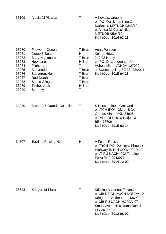| 33109                                                                                           | Alesia Di Picarda                                                                                                                                                                | Τ                                                                                           | A Kovacs, Ungern<br>e: IPOI Quickstep King Of<br>Darkness METDOB 9343/10<br>u: Amina Di Caresi Nice<br><b>METDOB 9504/10</b><br>Kull född: 2014-03-13                                                 |
|-------------------------------------------------------------------------------------------------|----------------------------------------------------------------------------------------------------------------------------------------------------------------------------------|---------------------------------------------------------------------------------------------|-------------------------------------------------------------------------------------------------------------------------------------------------------------------------------------------------------|
| 33980<br>33981<br>33982<br>33983<br>33984<br>33985<br>33986<br>33987<br>33988<br>33989<br>33990 | Fireworm-Queen<br>Drago'S-Beast<br>Baby-Nightmare<br>Hookfang<br>Flightmare<br>Babynadder<br>Babygronckle<br><b>Red-Death</b><br>Speed-Stinger<br><b>Timber-Jack</b><br>Stormfly | T Brun<br>H<br>T Brun<br>H Brun<br>T<br>T Brun<br>T Brun<br>T Brun<br>T Brun<br>H Brun<br>Τ | Anna Persson<br>Köinge 6921<br>242 92 Hörby<br>e: IPOI Dragondonner Von<br>Hohenzollern VDHDV 127099<br>u: Sweettingeling SE 33422/2011<br>Kull född: 2015-04-28                                      |
| 34239                                                                                           | Brenda Di Grande Castello                                                                                                                                                        | Τ                                                                                           | S Konstantinos, Grekland<br>e: LTCH IPOIII Oksamit De<br>Grande Vinko UKU 34925<br>u: Pride Of Russia Katjusha<br><b>BEK 76709</b><br>Kull född: 2015-02-14                                           |
| 34707                                                                                           | <b>Teraline Raising Hell</b>                                                                                                                                                     | Н                                                                                           | A Fokht, Russia<br>e: FRCH IPOI Destiny's Phoenix<br>Highway To Hell CORA 7710-10<br>u: LT RU UACH IPOI Teraline<br>Ferra RKF 2943971<br>Kull född: 2014-12-09                                        |
| 35693                                                                                           | Kriegerhof Kiara                                                                                                                                                                 | т                                                                                           | Kristiina Aaltonen, Finland<br>e: CIB DE DK NUCH NORDV-10<br>Kriegerhof Antheus FI24369/09<br>u: CIB RU UACH NORDV-07<br><b>Smart Wood Hills Roma Raviol</b><br>FIN 30725/08<br>Kull född: 2012-08-02 |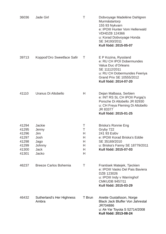| 36036                                                                | <b>Jade Girl</b>                                                         | Τ                                    | Dobvoyage Madeléne Dahlgren<br>Murmästartorp<br>155 93 Nykvarn<br>e: IPOIII Hunter Vom Hellerwald<br><b>VDHDZB 124366</b><br>u: Korad Dobvoyage Honda<br>SE 34193/2011<br>Kull född: 2015-05-07 |
|----------------------------------------------------------------------|--------------------------------------------------------------------------|--------------------------------------|-------------------------------------------------------------------------------------------------------------------------------------------------------------------------------------------------|
| 39713                                                                | Koppod'Oro Sweetface Safir                                               | Τ                                    | E P Kozina, Ryssland<br>e: RU CH IPOI Dobermundes<br>Valua Duc d'Orleans<br>SE 11112/2011<br>u: RU CH Dobermundes Feeriya<br>Grand Prix SE 10555/2012<br>Kull född: 2014-07-20                  |
| 41110                                                                | Uranus Di Altobello                                                      | H                                    | Dejan Malbasa, Serbien<br>e: INT RS SL CH IPOII Purgaj's<br>Porsche Di Altobello JR 82930<br>u: CH Freya Fleming Di Altobello<br>JR 83377<br>Kull född: 2015-01-25                              |
| 41294<br>41295<br>41296<br>41297<br>41298<br>41299<br>41300<br>41301 | Jackie<br>Jenny<br>Jim<br>Josh<br>Jago<br>Johnny<br><b>Jack</b><br>Jacko | Τ<br>Τ<br>H<br>Н<br>Н<br>H<br>H<br>Н | Briska's Ronnie Eng<br>Gryby 722<br>241 93 Eslöv<br>e: IPOIII Korad Briska's Eddie<br>SE 35169/2010<br>u: Briska's Fanny SE 18779/2011<br>Kull född: 2015-07-03                                 |
| 46237                                                                | <b>Breeze Carlos Bohemia</b>                                             | Τ                                    | Frantisek Matejek, Tjeckien<br>e: IPOIII Vasko Del Pais Baviera<br>DZB 123026<br>u: IPOIII Indy v Warringhof<br><b>CMKUDB 9457/11</b><br>Kull född: 2015-03-29                                  |
| 46432                                                                | Sutherland's Her Highness<br>Ambra                                       | T Brun                               | Anette Gustafsson, Norge<br><b>Black Jack Bluffer Von Jahrestal</b><br>JR704886<br>u: Ak-Yar Toyota S 52714/2008<br>Kull född: 2013-08-24                                                       |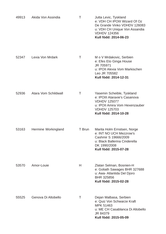| 49913 | Akida Von Assindia   | Τ      | Jutta Levic, Tyskland<br>e: VDH CH IPOIII Wizard Of Oz<br>De Grande Vinko VDHDV 126083<br>u: VDH CH Unique Von Assandia<br><b>VDHDV 124356</b><br>Kull född: 2014-06-23 |
|-------|----------------------|--------|-------------------------------------------------------------------------------------------------------------------------------------------------------------------------|
| 52347 | Lexia Von Mrdark     | Τ      | M o V Mrdakovic, Serbien<br>e: Efes Eto Ginga House<br>JR 705971<br>u: IPOII Alexia Vom Markischen<br>Leo JR 705582<br>Kull född: 2014-12-31                            |
| 52936 | Atara Vom Schildwall | Τ      | Yasemin Scheible, Tyskland<br>e: IPOIII Ataraxie's Casanova<br><b>VDHDV 125077</b><br>u: IPOII Amira Vom Hexenzauber<br><b>VDHDV 125703</b><br>Kull född: 2014-10-28    |
| 53163 | Hermine Workingland  | T Brun | Marita Holm Ernstsen, Norge<br>e: INT NO UCH Mezzrow's<br>Cashmir S 19666/2009<br>u: Black Ballerina Cinderella<br>DK 1990/2008<br>Kull född: 2015-07-28                |
| 53570 | Amor-Louie           | H      | Zlatan Selman, Bosnien-H<br>e: Goliath Sawages BHR 327688<br>u: Awa- Atlantida Del Djoro<br><b>BHR 325856</b><br>Kull född: 2015-02-28                                  |
| 55525 | Genova Di Altobello  | Т      | Dejan Malbasa, Serbien<br>e: Quiz Von Schwarze Kraft<br>MPK 51463<br>u: ME CH Casablanca Di Altobello<br>JR 84379<br>Kull född: 2015-05-09                              |